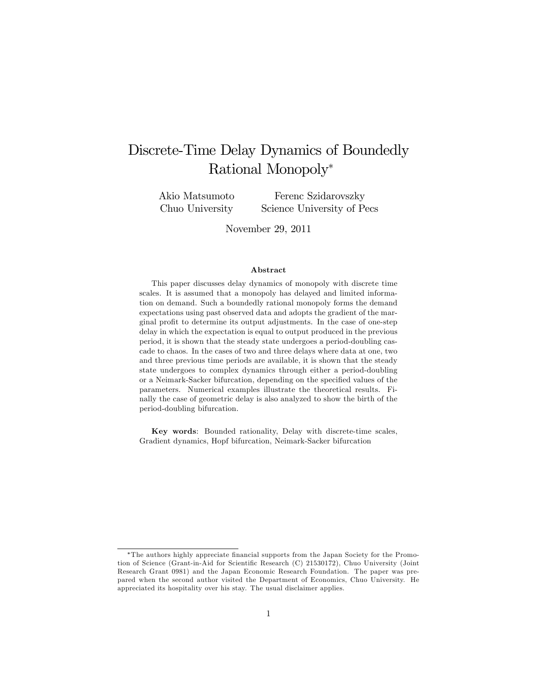# Discrete-Time Delay Dynamics of Boundedly Rational Monopoly

Akio Matsumoto Chuo University

Ferenc Szidarovszky Science University of Pecs

November 29, 2011

#### Abstract

This paper discusses delay dynamics of monopoly with discrete time scales. It is assumed that a monopoly has delayed and limited information on demand. Such a boundedly rational monopoly forms the demand expectations using past observed data and adopts the gradient of the marginal profit to determine its output adjustments. In the case of one-step delay in which the expectation is equal to output produced in the previous period, it is shown that the steady state undergoes a period-doubling cascade to chaos. In the cases of two and three delays where data at one, two and three previous time periods are available, it is shown that the steady state undergoes to complex dynamics through either a period-doubling or a Neimark-Sacker bifurcation, depending on the specified values of the parameters. Numerical examples illustrate the theoretical results. Finally the case of geometric delay is also analyzed to show the birth of the period-doubling bifurcation.

Key words: Bounded rationality, Delay with discrete-time scales, Gradient dynamics, Hopf bifurcation, Neimark-Sacker bifurcation

The authors highly appreciate Önancial supports from the Japan Society for the Promotion of Science (Grant-in-Aid for Scientific Research (C) 21530172), Chuo University (Joint Research Grant 0981) and the Japan Economic Research Foundation. The paper was prepared when the second author visited the Department of Economics, Chuo University. He appreciated its hospitality over his stay. The usual disclaimer applies.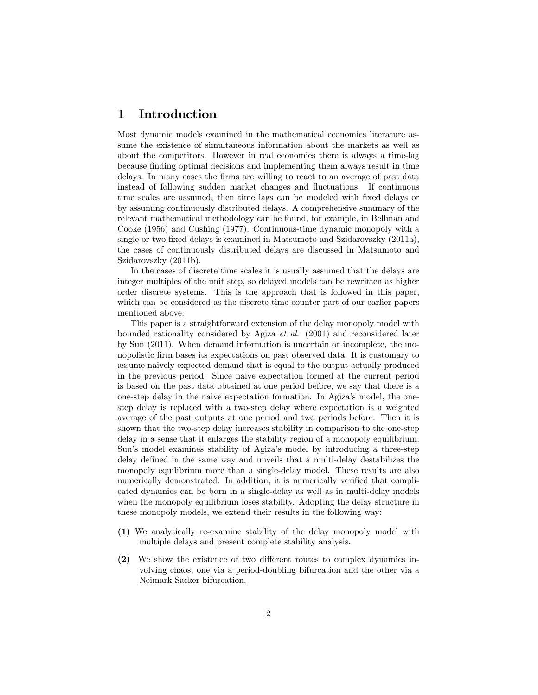## 1 Introduction

Most dynamic models examined in the mathematical economics literature assume the existence of simultaneous information about the markets as well as about the competitors. However in real economies there is always a time-lag because Önding optimal decisions and implementing them always result in time delays. In many cases the firms are willing to react to an average of past data instead of following sudden market changes and fluctuations. If continuous time scales are assumed, then time lags can be modeled with fixed delays or by assuming continuously distributed delays. A comprehensive summary of the relevant mathematical methodology can be found, for example, in Bellman and Cooke (1956) and Cushing (1977). Continuous-time dynamic monopoly with a single or two fixed delays is examined in Matsumoto and Szidarovszky (2011a), the cases of continuously distributed delays are discussed in Matsumoto and Szidarovszky (2011b).

In the cases of discrete time scales it is usually assumed that the delays are integer multiples of the unit step, so delayed models can be rewritten as higher order discrete systems. This is the approach that is followed in this paper, which can be considered as the discrete time counter part of our earlier papers mentioned above.

This paper is a straightforward extension of the delay monopoly model with bounded rationality considered by Agiza et al. (2001) and reconsidered later by Sun (2011). When demand information is uncertain or incomplete, the monopolistic Örm bases its expectations on past observed data. It is customary to assume naively expected demand that is equal to the output actually produced in the previous period. Since naive expectation formed at the current period is based on the past data obtained at one period before, we say that there is a one-step delay in the naive expectation formation. In Agizaís model, the onestep delay is replaced with a two-step delay where expectation is a weighted average of the past outputs at one period and two periods before. Then it is shown that the two-step delay increases stability in comparison to the one-step delay in a sense that it enlarges the stability region of a monopoly equilibrium. Sun's model examines stability of Agiza's model by introducing a three-step delay defined in the same way and unveils that a multi-delay destabilizes the monopoly equilibrium more than a single-delay model. These results are also numerically demonstrated. In addition, it is numerically verified that complicated dynamics can be born in a single-delay as well as in multi-delay models when the monopoly equilibrium loses stability. Adopting the delay structure in these monopoly models, we extend their results in the following way:

- (1) We analytically re-examine stability of the delay monopoly model with multiple delays and present complete stability analysis.
- $(2)$  We show the existence of two different routes to complex dynamics involving chaos, one via a period-doubling bifurcation and the other via a Neimark-Sacker bifurcation.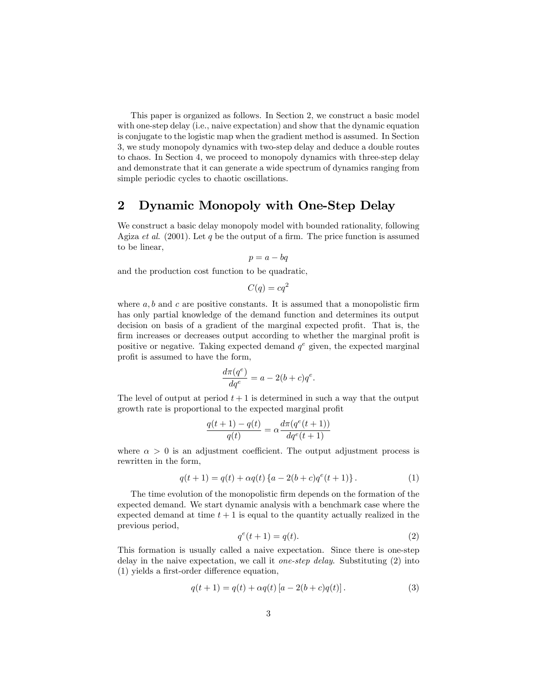This paper is organized as follows. In Section 2, we construct a basic model with one-step delay (i.e., naive expectation) and show that the dynamic equation is conjugate to the logistic map when the gradient method is assumed. In Section 3, we study monopoly dynamics with two-step delay and deduce a double routes to chaos. In Section 4, we proceed to monopoly dynamics with three-step delay and demonstrate that it can generate a wide spectrum of dynamics ranging from simple periodic cycles to chaotic oscillations.

## 2 Dynamic Monopoly with One-Step Delay

We construct a basic delay monopoly model with bounded rationality, following Agiza et al.  $(2001)$ . Let q be the output of a firm. The price function is assumed to be linear,

$$
p = a - bq
$$

and the production cost function to be quadratic,

$$
C(q) = cq^2
$$

where  $a, b$  and  $c$  are positive constants. It is assumed that a monopolistic firm has only partial knowledge of the demand function and determines its output decision on basis of a gradient of the marginal expected profit. That is, the firm increases or decreases output according to whether the marginal profit is positive or negative. Taking expected demand  $q^e$  given, the expected marginal profit is assumed to have the form,

$$
\frac{d\pi(q^e)}{dq^e} = a - 2(b+c)q^e.
$$

The level of output at period  $t + 1$  is determined in such a way that the output growth rate is proportional to the expected marginal profit

$$
\frac{q(t+1) - q(t)}{q(t)} = \alpha \frac{d\pi (q^{e}(t+1))}{dq^{e}(t+1)}
$$

where  $\alpha > 0$  is an adjustment coefficient. The output adjustment process is rewritten in the form,

$$
q(t+1) = q(t) + \alpha q(t) \{a - 2(b+c)q^{e}(t+1)\}.
$$
 (1)

The time evolution of the monopolistic firm depends on the formation of the expected demand. We start dynamic analysis with a benchmark case where the expected demand at time  $t + 1$  is equal to the quantity actually realized in the previous period,

$$
q^e(t+1) = q(t). \tag{2}
$$

This formation is usually called a naive expectation. Since there is one-step delay in the naive expectation, we call it one-step delay. Substituting (2) into  $(1)$  yields a first-order difference equation,

$$
q(t+1) = q(t) + \alpha q(t) [a - 2(b+c)q(t)].
$$
\n(3)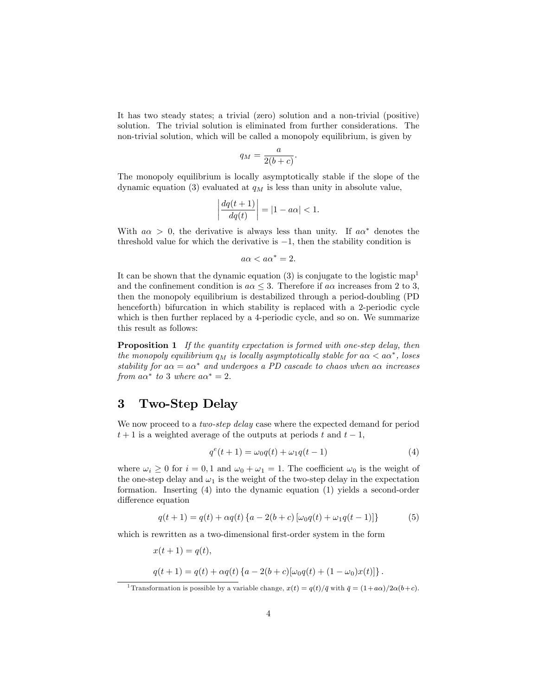It has two steady states; a trivial (zero) solution and a non-trivial (positive) solution. The trivial solution is eliminated from further considerations. The non-trivial solution, which will be called a monopoly equilibrium, is given by

$$
q_M = \frac{a}{2(b+c)}.
$$

The monopoly equilibrium is locally asymptotically stable if the slope of the dynamic equation (3) evaluated at  $q_M$  is less than unity in absolute value,

$$
\left| \frac{dq(t+1)}{dq(t)} \right| = |1 - a\alpha| < 1.
$$

With  $a\alpha > 0$ , the derivative is always less than unity. If  $a\alpha^*$  denotes the threshold value for which the derivative is  $-1$ , then the stability condition is

$$
a\alpha < a\alpha^* = 2.
$$

It can be shown that the dynamic equation (3) is conjugate to the logistic map<sup>1</sup> and the confinement condition is  $a\alpha \leq 3$ . Therefore if  $a\alpha$  increases from 2 to 3, then the monopoly equilibrium is destabilized through a period-doubling (PD henceforth) bifurcation in which stability is replaced with a 2-periodic cycle which is then further replaced by a 4-periodic cycle, and so on. We summarize this result as follows:

**Proposition 1** If the quantity expectation is formed with one-step delay, then the monopoly equilibrium  $q_M$  is locally asymptotically stable for  $a\alpha < a\alpha^*$ , loses stability for  $a\alpha = a\alpha^*$  and undergoes a PD cascade to chaos when  $a\alpha$  increases from  $a\alpha^*$  to 3 where  $a\alpha^* = 2$ .

## 3 Two-Step Delay

We now proceed to a *two-step delay* case where the expected demand for period  $t+1$  is a weighted average of the outputs at periods t and  $t-1$ ,

$$
q^{e}(t+1) = \omega_0 q(t) + \omega_1 q(t-1)
$$
\n(4)

where  $\omega_i \geq 0$  for  $i = 0, 1$  and  $\omega_0 + \omega_1 = 1$ . The coefficient  $\omega_0$  is the weight of the one-step delay and  $\omega_1$  is the weight of the two-step delay in the expectation formation. Inserting (4) into the dynamic equation (1) yields a second-order difference equation

$$
q(t+1) = q(t) + \alpha q(t) \{a - 2(b+c) [\omega_0 q(t) + \omega_1 q(t-1)]\}
$$
 (5)

which is rewritten as a two-dimensional first-order system in the form

$$
x(t + 1) = q(t),
$$
  
 
$$
q(t + 1) = q(t) + \alpha q(t) \{a - 2(b + c)[\omega_0 q(t) + (1 - \omega_0)x(t)]\}.
$$

<sup>&</sup>lt;sup>1</sup> Transformation is possible by a variable change,  $x(t) = q(t)/\bar{q}$  with  $\bar{q} = (1+a\alpha)/2\alpha(b+c)$ .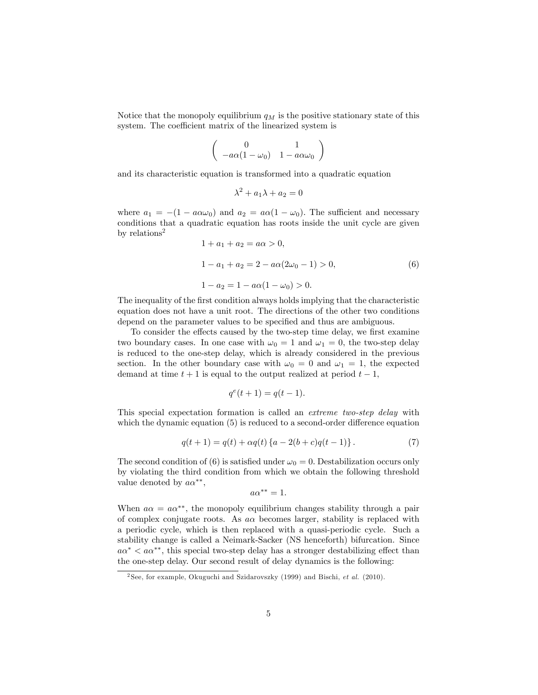Notice that the monopoly equilibrium  $q_M$  is the positive stationary state of this system. The coefficient matrix of the linearized system is

$$
\left(\begin{array}{cc}0&1\\-a\alpha(1-\omega_0)&1-a\alpha\omega_0\end{array}\right)
$$

and its characteristic equation is transformed into a quadratic equation

$$
\lambda^2 + a_1 \lambda + a_2 = 0
$$

where  $a_1 = -(1 - a\alpha\omega_0)$  and  $a_2 = a\alpha(1 - \omega_0)$ . The sufficient and necessary conditions that a quadratic equation has roots inside the unit cycle are given by relations<sup>2</sup>

$$
1 + a_1 + a_2 = a\alpha > 0,
$$
  
\n
$$
1 - a_1 + a_2 = 2 - a\alpha(2\omega_0 - 1) > 0,
$$
  
\n
$$
1 - a_2 = 1 - a\alpha(1 - \omega_0) > 0.
$$
\n(6)

The inequality of the first condition always holds implying that the characteristic equation does not have a unit root. The directions of the other two conditions depend on the parameter values to be specified and thus are ambiguous.

To consider the effects caused by the two-step time delay, we first examine two boundary cases. In one case with  $\omega_0 = 1$  and  $\omega_1 = 0$ , the two-step delay is reduced to the one-step delay, which is already considered in the previous section. In the other boundary case with  $\omega_0 = 0$  and  $\omega_1 = 1$ , the expected demand at time  $t + 1$  is equal to the output realized at period  $t - 1$ ,

$$
q^e(t+1) = q(t-1).
$$

This special expectation formation is called an extreme two-step delay with which the dynamic equation  $(5)$  is reduced to a second-order difference equation

$$
q(t+1) = q(t) + \alpha q(t) \{a - 2(b+c)q(t-1)\}.
$$
 (7)

The second condition of (6) is satisfied under  $\omega_0 = 0$ . Destabilization occurs only by violating the third condition from which we obtain the following threshold value denoted by  $a\alpha^{**}$ ,

$$
a\alpha^{**}=1.
$$

When  $a\alpha = a\alpha^{**}$ , the monopoly equilibrium changes stability through a pair of complex conjugate roots. As  $a\alpha$  becomes larger, stability is replaced with a periodic cycle, which is then replaced with a quasi-periodic cycle. Such a stability change is called a Neimark-Sacker (NS henceforth) bifurcation. Since  $a\alpha^* < a\alpha^{**}$ , this special two-step delay has a stronger destabilizing effect than the one-step delay. Our second result of delay dynamics is the following:

<sup>&</sup>lt;sup>2</sup> See, for example, Okuguchi and Szidarovszky (1999) and Bischi, *et al.* (2010).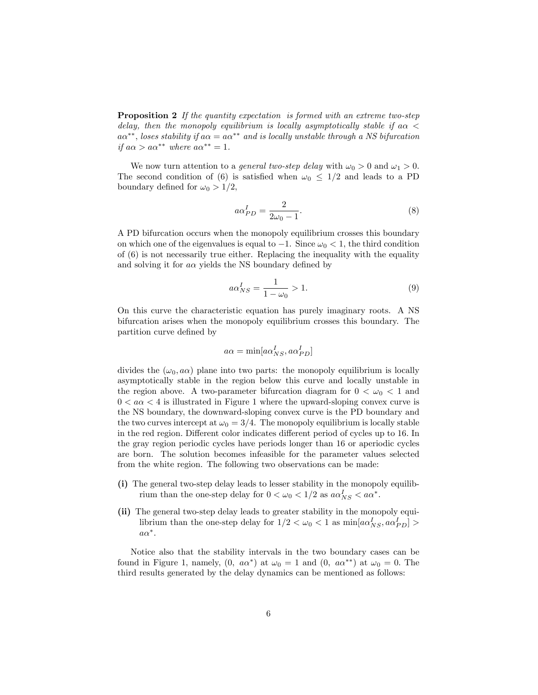Proposition 2 If the quantity expectation is formed with an extreme two-step delay, then the monopoly equilibrium is locally asymptotically stable if a  $\alpha$  <  $a\alpha^{**}$ , loses stability if  $a\alpha = a\alpha^{**}$  and is locally unstable through a NS bifurcation if  $a\alpha > a\alpha^{**}$  where  $a\alpha^{**} = 1$ .

We now turn attention to a *general two-step delay* with  $\omega_0 > 0$  and  $\omega_1 > 0$ . The second condition of (6) is satisfied when  $\omega_0 \leq 1/2$  and leads to a PD boundary defined for  $\omega_0 > 1/2$ ,

$$
a\alpha_{PD}^I = \frac{2}{2\omega_0 - 1}.\tag{8}
$$

A PD bifurcation occurs when the monopoly equilibrium crosses this boundary on which one of the eigenvalues is equal to  $-1$ . Since  $\omega_0 < 1$ , the third condition of  $(6)$  is not necessarily true either. Replacing the inequality with the equality and solving it for  $a\alpha$  yields the NS boundary defined by

$$
a\alpha_{NS}^I = \frac{1}{1 - \omega_0} > 1.
$$
\n<sup>(9)</sup>

On this curve the characteristic equation has purely imaginary roots. A NS bifurcation arises when the monopoly equilibrium crosses this boundary. The partition curve defined by

$$
a\alpha = \min[a\alpha_{NS}^I, a\alpha_{PD}^I]
$$

divides the  $(\omega_0, a\alpha)$  plane into two parts: the monopoly equilibrium is locally asymptotically stable in the region below this curve and locally unstable in the region above. A two-parameter bifurcation diagram for  $0 < \omega_0 < 1$  and  $0 < a\alpha < 4$  is illustrated in Figure 1 where the upward-sloping convex curve is the NS boundary, the downward-sloping convex curve is the PD boundary and the two curves intercept at  $\omega_0 = 3/4$ . The monopoly equilibrium is locally stable in the red region. Different color indicates different period of cycles up to 16. In the gray region periodic cycles have periods longer than 16 or aperiodic cycles are born. The solution becomes infeasible for the parameter values selected from the white region. The following two observations can be made:

- (i) The general two-step delay leads to lesser stability in the monopoly equilibrium than the one-step delay for  $0 < \omega_0 < 1/2$  as  $a\alpha_{NS}^I < a\alpha^*$ .
- (ii) The general two-step delay leads to greater stability in the monopoly equilibrium than the one-step delay for  $1/2 < \omega_0 < 1$  as  $\min[a\alpha_{NS}^I, a\alpha_{PD}^I] >$  $a\alpha^*$ .

Notice also that the stability intervals in the two boundary cases can be found in Figure 1, namely,  $(0, a\alpha^*)$  at  $\omega_0 = 1$  and  $(0, a\alpha^{**})$  at  $\omega_0 = 0$ . The third results generated by the delay dynamics can be mentioned as follows: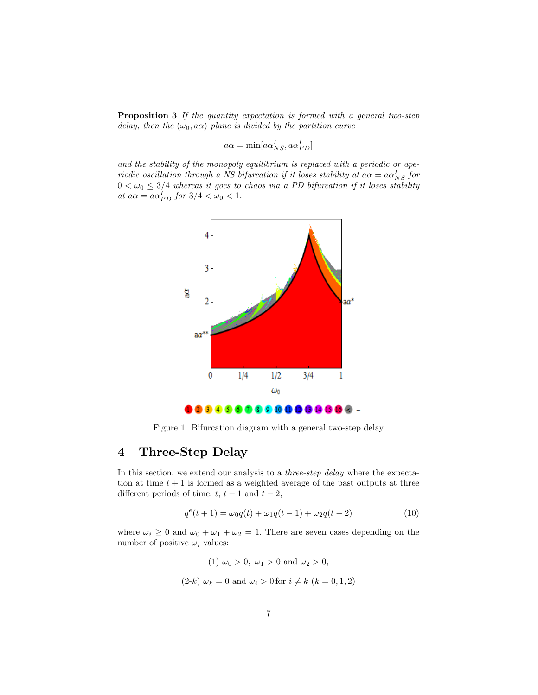**Proposition 3** If the quantity expectation is formed with a general two-step delay, then the  $(\omega_0, a\alpha)$  plane is divided by the partition curve

$$
a\alpha = \min[a\alpha_{NS}^I, a\alpha_{PD}^I]
$$

and the stability of the monopoly equilibrium is replaced with a periodic or aperiodic oscillation through a NS bifurcation if it loses stability at  $a\alpha = a\alpha_{NS}^{I}$  for  $0 < \omega_0 \leq 3/4$  whereas it goes to chaos via a PD bifurcation if it loses stability at  $a\alpha = a\alpha_{PD}^I$  for  $3/4 < \omega_0 < 1$ .



Figure 1. Bifurcation diagram with a general two-step delay

## 4 Three-Step Delay

In this section, we extend our analysis to a *three-step delay* where the expectation at time  $t + 1$  is formed as a weighted average of the past outputs at three different periods of time,  $t, t - 1$  and  $t - 2$ ,

$$
q^{e}(t+1) = \omega_0 q(t) + \omega_1 q(t-1) + \omega_2 q(t-2)
$$
\n(10)

where  $\omega_i \geq 0$  and  $\omega_0 + \omega_1 + \omega_2 = 1$ . There are seven cases depending on the number of positive  $\omega_i$  values:

> (1)  $\omega_0 > 0$ ,  $\omega_1 > 0$  and  $\omega_2 > 0$ ,  $(2-k) \omega_k = 0$  and  $\omega_i > 0$  for  $i \neq k$   $(k = 0, 1, 2)$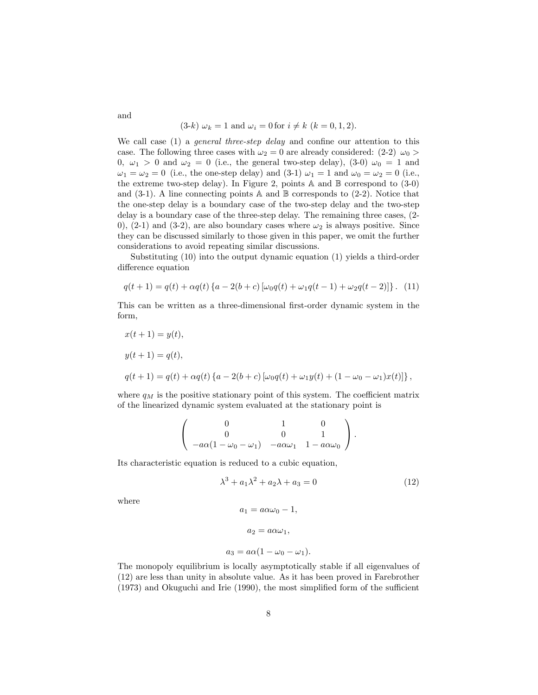$$
(3-k)
$$
  $\omega_k = 1$  and  $\omega_i = 0$  for  $i \neq k$   $(k = 0, 1, 2)$ .

We call case  $(1)$  a *general three-step delay* and confine our attention to this case. The following three cases with  $\omega_2 = 0$  are already considered: (2-2)  $\omega_0 >$ 0,  $\omega_1 > 0$  and  $\omega_2 = 0$  (i.e., the general two-step delay), (3-0)  $\omega_0 = 1$  and  $\omega_1 = \omega_2 = 0$  (i.e., the one-step delay) and (3-1)  $\omega_1 = 1$  and  $\omega_0 = \omega_2 = 0$  (i.e., the extreme two-step delay). In Figure 2, points  $\mathbb A$  and  $\mathbb B$  correspond to (3-0) and  $(3-1)$ . A line connecting points A and B corresponds to  $(2-2)$ . Notice that the one-step delay is a boundary case of the two-step delay and the two-step delay is a boundary case of the three-step delay. The remaining three cases, (2- 0), (2-1) and (3-2), are also boundary cases where  $\omega_2$  is always positive. Since they can be discussed similarly to those given in this paper, we omit the further considerations to avoid repeating similar discussions.

Substituting (10) into the output dynamic equation (1) yields a third-order difference equation

$$
q(t+1) = q(t) + \alpha q(t) \left\{ a - 2(b+c) \left[ \omega_0 q(t) + \omega_1 q(t-1) + \omega_2 q(t-2) \right] \right\}. (11)
$$

This can be written as a three-dimensional first-order dynamic system in the form,

$$
x(t + 1) = y(t),
$$
  
\n
$$
y(t + 1) = q(t),
$$
  
\n
$$
q(t + 1) = q(t) + \alpha q(t) \{a - 2(b + c) [\omega_0 q(t) + \omega_1 y(t) + (1 - \omega_0 - \omega_1) x(t)]\},
$$

where  $q_M$  is the positive stationary point of this system. The coefficient matrix of the linearized dynamic system evaluated at the stationary point is

$$
\left(\begin{array}{ccc} 0 & 1 & 0 \\ 0 & 0 & 1 \\ -a\alpha(1-\omega_0-\omega_1) & -a\alpha\omega_1 & 1-a\alpha\omega_0 \end{array}\right).
$$

Its characteristic equation is reduced to a cubic equation,

$$
\lambda^3 + a_1 \lambda^2 + a_2 \lambda + a_3 = 0 \tag{12}
$$

where

$$
a_1 = a\alpha\omega_0 - 1,
$$
  

$$
a_2 = a\alpha\omega_1,
$$

$$
a_3 = a\alpha(1 - \omega_0 - \omega_1).
$$

The monopoly equilibrium is locally asymptotically stable if all eigenvalues of (12) are less than unity in absolute value. As it has been proved in Farebrother  $(1973)$  and Okuguchi and Irie  $(1990)$ , the most simplified form of the sufficient

and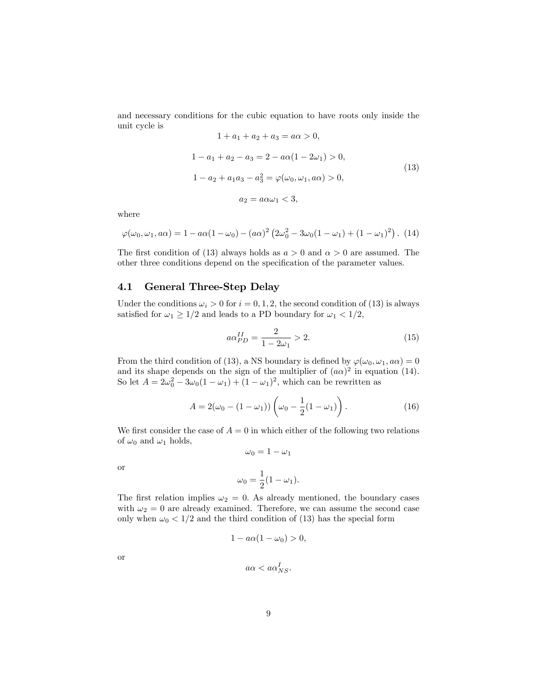and necessary conditions for the cubic equation to have roots only inside the unit cycle is

$$
1 + a_1 + a_2 + a_3 = a\alpha > 0,
$$
  
\n
$$
1 - a_1 + a_2 - a_3 = 2 - a\alpha(1 - 2\omega_1) > 0,
$$
  
\n
$$
1 - a_2 + a_1a_3 - a_3^2 = \varphi(\omega_0, \omega_1, a\alpha) > 0,
$$
  
\n
$$
a_2 = a\alpha\omega_1 < 3,
$$
\n(13)

where

$$
\varphi(\omega_0, \omega_1, a\alpha) = 1 - a\alpha(1 - \omega_0) - (a\alpha)^2 (2\omega_0^2 - 3\omega_0(1 - \omega_1) + (1 - \omega_1)^2).
$$
 (14)

The first condition of (13) always holds as  $a > 0$  and  $\alpha > 0$  are assumed. The other three conditions depend on the specification of the parameter values.

## 4.1 General Three-Step Delay

Under the conditions  $\omega_i > 0$  for  $i = 0, 1, 2$ , the second condition of (13) is always satisfied for  $\omega_1 \geq 1/2$  and leads to a PD boundary for  $\omega_1 < 1/2$ ,

$$
a\alpha_{PD}^{II} = \frac{2}{1 - 2\omega_1} > 2.
$$
 (15)

From the third condition of (13), a NS boundary is defined by  $\varphi(\omega_0, \omega_1, a\alpha) = 0$ and its shape depends on the sign of the multiplier of  $(a\alpha)^2$  in equation (14). So let  $A = 2\omega_0^2 - 3\omega_0(1 - \omega_1) + (1 - \omega_1)^2$ , which can be rewritten as

$$
A = 2(\omega_0 - (1 - \omega_1)) \left( \omega_0 - \frac{1}{2} (1 - \omega_1) \right).
$$
 (16)

We first consider the case of  $A = 0$  in which either of the following two relations of  $\omega_0$  and  $\omega_1$  holds,

$$
\omega_0 = 1 - \omega_1
$$

or

$$
\omega_0 = \frac{1}{2}(1 - \omega_1).
$$

The first relation implies  $\omega_2 = 0$ . As already mentioned, the boundary cases with  $\omega_2 = 0$  are already examined. Therefore, we can assume the second case only when  $\omega_0 < 1/2$  and the third condition of (13) has the special form

$$
1 - a\alpha(1 - \omega_0) > 0,
$$

or

$$
a\alpha < a\alpha_{NS}^I.
$$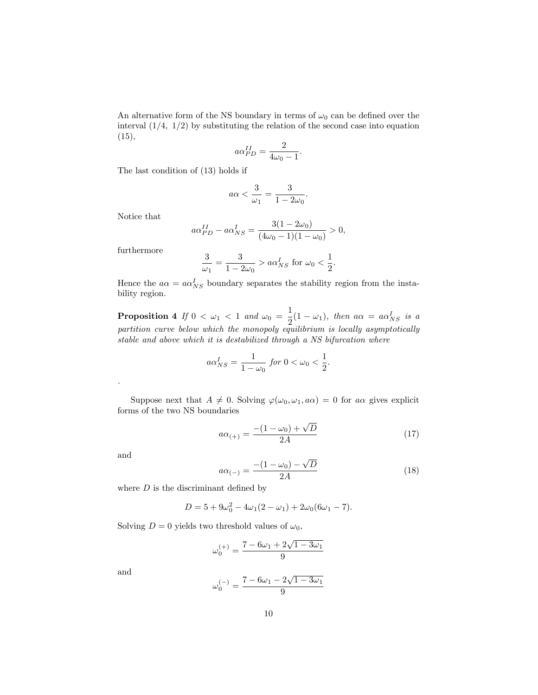An alternative form of the NS boundary in terms of  $\omega_0$  can be defined over the interval  $(1/4, 1/2)$  by substituting the relation of the second case into equation (15),

$$
a\alpha_{PD}^{II} = \frac{2}{4\omega_0 - 1}.
$$

The last condition of (13) holds if

$$
a\alpha < \frac{3}{\omega_1} = \frac{3}{1 - 2\omega_0}.
$$

Notice that

$$
a\alpha_{PD}^{II} - a\alpha_{NS}^{I} = \frac{3(1 - 2\omega_0)}{(4\omega_0 - 1)(1 - \omega_0)} > 0,
$$

furthermore

$$
\frac{3}{\omega_1} = \frac{3}{1 - 2\omega_0} > a\alpha_{NS}^I
$$
 for  $\omega_0 < \frac{1}{2}$ .

Hence the  $a\alpha = a\alpha_{NS}^I$  boundary separates the stability region from the instability region.

**Proposition 4** If  $0 < \omega_1 < 1$  and  $\omega_0 = \frac{1}{2}$  $\frac{1}{2}(1-\omega_1)$ , then  $a\alpha = a\alpha_{NS}^I$  is a partition curve below which the monopoly equilibrium is locally asymptotically stable and above which it is destabilized through a NS bifurcation where

$$
a\alpha_{NS}^I = \frac{1}{1-\omega_0} \text{ for } 0 < \omega_0 < \frac{1}{2}.
$$

Suppose next that  $A \neq 0$ . Solving  $\varphi(\omega_0, \omega_1, a\alpha) = 0$  for  $a\alpha$  gives explicit forms of the two NS boundaries

$$
a\alpha_{(+)} = \frac{-(1 - \omega_0) + \sqrt{D}}{2A} \tag{17}
$$

and

.

$$
a\alpha_{(-)} = \frac{-(1 - \omega_0) - \sqrt{D}}{2A} \tag{18}
$$

where  $D$  is the discriminant defined by

$$
D = 5 + 9\omega_0^2 - 4\omega_1(2 - \omega_1) + 2\omega_0(6\omega_1 - 7).
$$

Solving  $D = 0$  yields two threshold values of  $\omega_0$ ,

$$
\omega_0^{(+)}=\frac{7-6\omega_1+2\sqrt{1-3\omega_1}}{9}
$$

and

$$
\omega_0^{(-)} = \frac{7 - 6\omega_1 - 2\sqrt{1 - 3\omega_1}}{9}
$$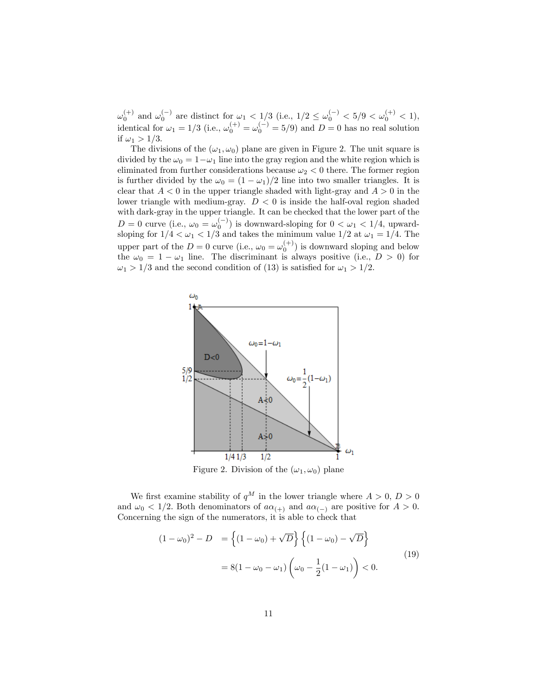$\omega_0^{(+)}$  and  $\omega_0^{(-)}$  are distinct for  $\omega_1 < 1/3$  (i.e.,  $1/2 \leq \omega_0^{(-)} < 5/9 < \omega_0^{(+)} < 1$ ), identical for  $\omega_1 = 1/3$  (i.e.,  $\omega_0^{(+)} = \omega_0^{(-)} = 5/9$ ) and  $D = 0$  has no real solution if  $\omega_1 > 1/3$ .

The divisions of the  $(\omega_1, \omega_0)$  plane are given in Figure 2. The unit square is divided by the  $\omega_0 = 1 - \omega_1$  line into the gray region and the white region which is eliminated from further considerations because  $\omega_2 < 0$  there. The former region is further divided by the  $\omega_0 = (1 - \omega_1)/2$  line into two smaller triangles. It is clear that  $A < 0$  in the upper triangle shaded with light-gray and  $A > 0$  in the lower triangle with medium-gray.  $D < 0$  is inside the half-oval region shaded with dark-gray in the upper triangle. It can be checked that the lower part of the  $D = 0$  curve (i.e.,  $\omega_0 = \omega_0^{(-)}$ ) is downward-sloping for  $0 < \omega_1 < 1/4$ , upwardsloping for  $1/4 < \omega_1 < 1/3$  and takes the minimum value  $1/2$  at  $\omega_1 = 1/4$ . The upper part of the  $D=0$  curve (i.e.,  $\omega_0 = \omega_0^{(+)}$ ) is downward sloping and below the  $\omega_0 = 1 - \omega_1$  line. The discriminant is always positive (i.e.,  $D > 0$ ) for  $\omega_1 > 1/3$  and the second condition of (13) is satisfied for  $\omega_1 > 1/2$ .



Figure 2. Division of the  $(\omega_1, \omega_0)$  plane

We first examine stability of  $q^M$  in the lower triangle where  $A > 0$ ,  $D > 0$ and  $\omega_0 < 1/2$ . Both denominators of  $a\alpha_{(+)}$  and  $a\alpha_{(-)}$  are positive for  $A > 0$ . Concerning the sign of the numerators, it is able to check that

$$
(1 - \omega_0)^2 - D = \left\{ (1 - \omega_0) + \sqrt{D} \right\} \left\{ (1 - \omega_0) - \sqrt{D} \right\}
$$
  
= 8(1 - \omega\_0 - \omega\_1) \left( \omega\_0 - \frac{1}{2} (1 - \omega\_1) \right) < 0. (19)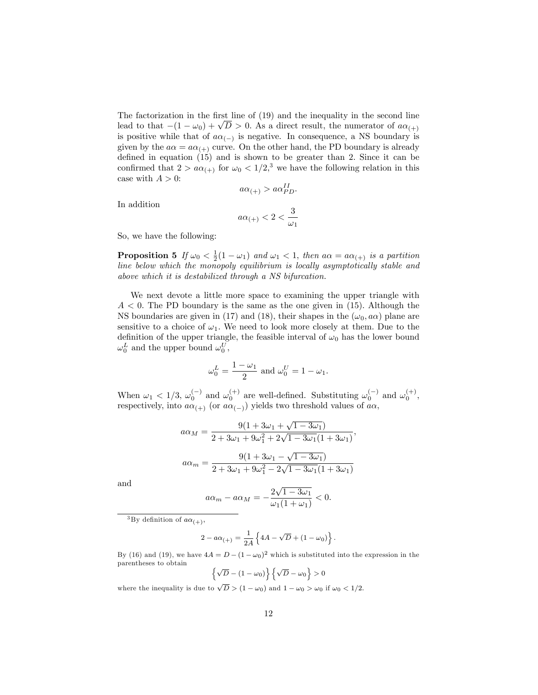The factorization in the first line of  $(19)$  and the inequality in the second line lead to that  $-(1 - \omega_0) + \sqrt{D} > 0$ . As a direct result, the numerator of  $a\alpha_{(+)}$ is positive while that of  $a\alpha_{(-)}$  is negative. In consequence, a NS boundary is given by the  $a\alpha = a\alpha_{(+)}$  curve. On the other hand, the PD boundary is already defined in equation  $(15)$  and is shown to be greater than 2. Since it can be confirmed that  $2 > a\alpha_{(+)}$  for  $\omega_0 < 1/2$ ,<sup>3</sup> we have the following relation in this case with  $A > 0$ :

$$
a\alpha_{(+)}>a\alpha_{PD}^{II}.
$$

In addition

$$
a\alpha_{(+)}<2<\frac{3}{\omega_1}
$$

So, we have the following:

**Proposition 5** If  $\omega_0 < \frac{1}{2}(1 - \omega_1)$  and  $\omega_1 < 1$ , then  $a\alpha = a\alpha_{(+)}$  is a partition line below which the monopoly equilibrium is locally asymptotically stable and above which it is destabilized through a NS bifurcation.

We next devote a little more space to examining the upper triangle with  $A < 0$ . The PD boundary is the same as the one given in (15). Although the NS boundaries are given in (17) and (18), their shapes in the  $(\omega_0, a\alpha)$  plane are sensitive to a choice of  $\omega_1$ . We need to look more closely at them. Due to the definition of the upper triangle, the feasible interval of  $\omega_0$  has the lower bound  $\omega_0^L$  and the upper bound  $\omega_0^U$ ,

$$
\omega_0^L = \frac{1 - \omega_1}{2}
$$
 and 
$$
\omega_0^U = 1 - \omega_1.
$$

When  $\omega_1 < 1/3$ ,  $\omega_0^{(-)}$  and  $\omega_0^{(+)}$  are well-defined. Substituting  $\omega_0^{(-)}$  and  $\omega_0^{(+)}$ , respectively, into  $a\alpha_{(+)}$  (or  $a\alpha_{(-)}$ ) yields two threshold values of  $a\alpha$ ,

$$
a\alpha_M = \frac{9(1+3\omega_1 + \sqrt{1-3\omega_1})}{2+3\omega_1 + 9\omega_1^2 + 2\sqrt{1-3\omega_1}(1+3\omega_1)},
$$
  

$$
a\alpha_m = \frac{9(1+3\omega_1 - \sqrt{1-3\omega_1})}{2+3\omega_1 + 9\omega_1^2 - 2\sqrt{1-3\omega_1}(1+3\omega_1)}
$$

and

$$
a\alpha_m - a\alpha_M = -\frac{2\sqrt{1 - 3\omega_1}}{\omega_1(1 + \omega_1)} < 0.
$$

<sup>3</sup>By definition of  $a\alpha_{(+)},$ 

$$
2 - a\alpha_{(+)} = \frac{1}{2A} \left\{ 4A - \sqrt{D} + (1 - \omega_0) \right\}
$$

:

By (16) and (19), we have  $4A = D - (1 - \omega_0)^2$  which is substituted into the expression in the parentheses to obtain o np

$$
\left\{\sqrt{D} - (1 - \omega_0)\right\} \left\{\sqrt{D} - \omega_0\right\} > 0
$$

where the inequality is due to  $\sqrt{D}$  > (1 -  $\omega_0$ ) and 1 -  $\omega_0$  >  $\omega_0$  if  $\omega_0$  < 1/2.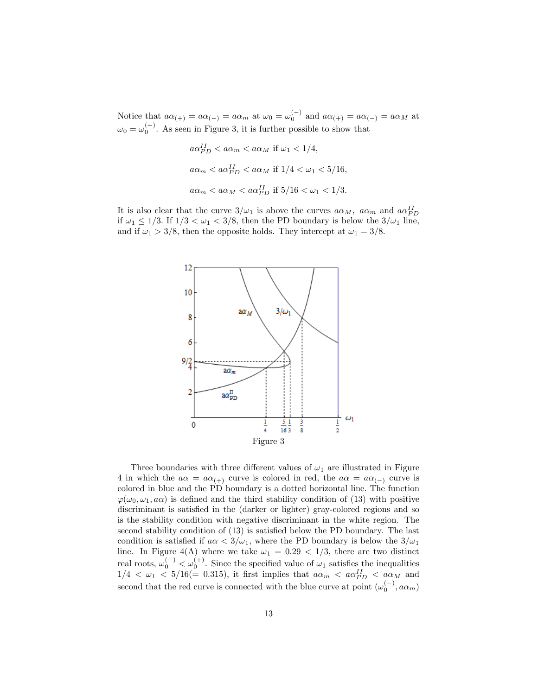Notice that  $a\alpha_{(+)} = a\alpha_{(-)} = a\alpha_m$  at  $\omega_0 = \omega_0^{(-)}$  and  $a\alpha_{(+)} = a\alpha_{(-)} = a\alpha_M$  at  $\omega_0 = \omega_0^{(+)}$ . As seen in Figure 3, it is further possible to show that

$$
a\alpha_{PD}^{II} < a\alpha_m < a\alpha_M \text{ if } \omega_1 < 1/4,
$$
\n
$$
a\alpha_m < a\alpha_{PD}^{II} < a\alpha_M \text{ if } 1/4 < \omega_1 < 5/16,
$$
\n
$$
a\alpha_m < a\alpha_M < a\alpha_{PD}^{II} \text{ if } 5/16 < \omega_1 < 1/3.
$$

It is also clear that the curve  $3/\omega_1$  is above the curves  $a\alpha_M$ ,  $a\alpha_m$  and  $a\alpha_{PD}^{II}$ if  $\omega_1 \leq 1/3$ . If  $1/3 < \omega_1 < 3/8$ , then the PD boundary is below the  $3/\omega_1$  line, and if  $\omega_1 > 3/8$ , then the opposite holds. They intercept at  $\omega_1 = 3/8$ .



Three boundaries with three different values of  $\omega_1$  are illustrated in Figure 4 in which the  $a\alpha = a\alpha_{(+)}$  curve is colored in red, the  $a\alpha = a\alpha_{(-)}$  curve is colored in blue and the PD boundary is a dotted horizontal line. The function  $\varphi(\omega_0, \omega_1, a\alpha)$  is defined and the third stability condition of (13) with positive discriminant is satisfied in the (darker or lighter) gray-colored regions and so is the stability condition with negative discriminant in the white region. The second stability condition of  $(13)$  is satisfied below the PD boundary. The last condition is satisfied if  $a \alpha < 3/\omega_1$ , where the PD boundary is below the  $3/\omega_1$ line. In Figure 4(A) where we take  $\omega_1 = 0.29 < 1/3$ , there are two distinct real roots,  $\omega_0^{(-)} < \omega_0^{(+)}$ . Since the specified value of  $\omega_1$  satisfies the inequalities  $1/4 < \omega_1 < 5/16 (= 0.315)$ , it first implies that  $a\alpha_m < a\alpha_{PD}^{II} < a\alpha_M$  and second that the red curve is connected with the blue curve at point  $(\omega_0^{(-)}, a\alpha_m)$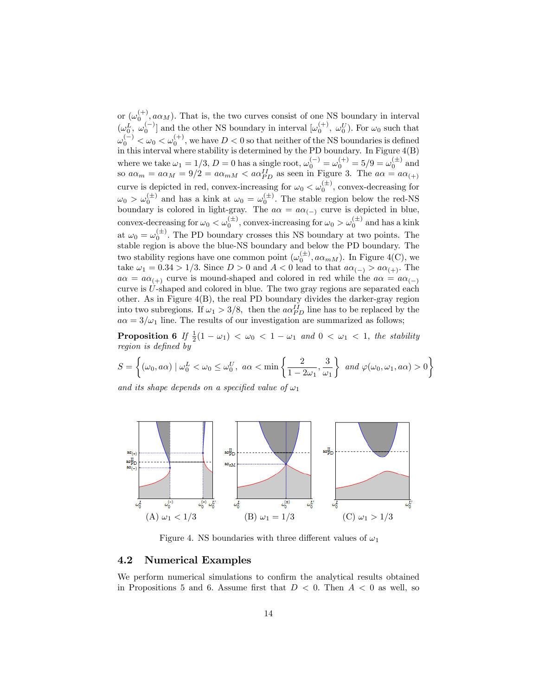or  $(\omega_0^{(+)}, a\alpha_M)$ . That is, the two curves consist of one NS boundary in interval  $(\omega_0^L, \omega_0^{(-)}]$  and the other NS boundary in interval  $[\omega_0^{(+)}, \omega_0^{U}]$ . For  $\omega_0$  such that  $\omega_0^{(-)} < \omega_0 < \omega_0^{(+)}$ , we have  $D < 0$  so that neither of the NS boundaries is defined in this interval where stability is determined by the PD boundary. In Figure 4(B) where we take  $\omega_1 = 1/3$ ,  $D = 0$  has a single root,  $\omega_0^{(-)} = \omega_0^{(+)} = 5/9 = \omega_0^{(+)}$  and so  $a\alpha_m = a\alpha_M = 9/2 = a\alpha_{mM} < a\alpha_{PD}^{II}$  as seen in Figure 3. The  $a\alpha = a\alpha_{(+)}$ curve is depicted in red, convex-increasing for  $\omega_0 < \omega_0^{(\pm)}$ , convex-decreasing for  $\omega_0 > \omega_0^{(\pm)}$  and has a kink at  $\omega_0 = \omega_0^{(\pm)}$ . The stable region below the red-NS boundary is colored in light-gray. The  $a\alpha = a\alpha_{(-)}$  curve is depicted in blue, convex-decreasing for  $\omega_0 < \omega_0^{(\pm)}$ , convex-increasing for  $\omega_0 > \omega_0^{(\pm)}$  and has a kink at  $\omega_0 = \omega_0^{(\pm)}$ . The PD boundary crosses this NS boundary at two points. The stable region is above the blue-NS boundary and below the PD boundary. The two stability regions have one common point  $(\omega_0^{(\pm)}, a\alpha_{mM})$ . In Figure 4(C), we take  $\omega_1 = 0.34 > 1/3$ . Since  $D > 0$  and  $A < 0$  lead to that  $a\alpha_{(-)} > a\alpha_{(+)}$ . The  $a\alpha = a\alpha_{(+)}$  curve is mound-shaped and colored in red while the  $a\alpha = a\alpha_{(-)}$ curve is U-shaped and colored in blue. The two gray regions are separated each other. As in Figure 4(B), the real PD boundary divides the darker-gray region into two subregions. If  $\omega_1 > 3/8$ , then the  $a\alpha_{PD}^{II}$  line has to be replaced by the  $a\alpha = 3/\omega_1$  line. The results of our investigation are summarized as follows;

**Proposition 6** If  $\frac{1}{2}(1 - \omega_1) < \omega_0 < 1 - \omega_1$  and  $0 < \omega_1 < 1$ , the stability region is defined by

$$
S = \left\{ (\omega_0, a\alpha) \mid \omega_0^L < \omega_0 \le \omega_0^U, \ a\alpha < \min\left\{ \frac{2}{1 - 2\omega_1}, \frac{3}{\omega_1} \right\} \ and \ \varphi(\omega_0, \omega_1, a\alpha) > 0 \right\}
$$

and its shape depends on a specified value of  $\omega_1$ 



Figure 4. NS boundaries with three different values of  $\omega_1$ 

### 4.2 Numerical Examples

We perform numerical simulations to confirm the analytical results obtained in Propositions 5 and 6. Assume first that  $D < 0$ . Then  $A < 0$  as well, so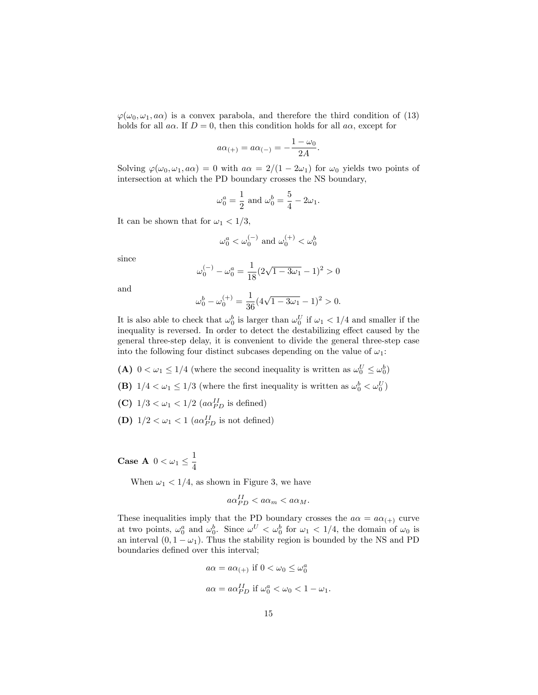$\varphi(\omega_0, \omega_1, a\alpha)$  is a convex parabola, and therefore the third condition of (13) holds for all  $a\alpha$ . If  $D = 0$ , then this condition holds for all  $a\alpha$ , except for

$$
a\alpha_{(+)} = a\alpha_{(-)} = -\frac{1-\omega_0}{2A}.
$$

Solving  $\varphi(\omega_0, \omega_1, a\alpha) = 0$  with  $a\alpha = 2/(1 - 2\omega_1)$  for  $\omega_0$  yields two points of intersection at which the PD boundary crosses the NS boundary,

$$
\omega_0^a = \frac{1}{2}
$$
 and  $\omega_0^b = \frac{5}{4} - 2\omega_1$ .

It can be shown that for  $\omega_1 < 1/3$ ,

$$
\omega_0^a<\omega_0^{(-)}
$$
 and  $\omega_0^{(+)}<\omega_0^b$ 

since

$$
\omega_0^{(-)} - \omega_0^a = \frac{1}{18} (2\sqrt{1 - 3\omega_1} - 1)^2 > 0
$$

and

$$
\omega_0^b - \omega_0^{(+)} = \frac{1}{36} (4\sqrt{1 - 3\omega_1} - 1)^2 > 0.
$$

It is also able to check that  $\omega_0^b$  is larger than  $\omega_0^U$  if  $\omega_1 < 1/4$  and smaller if the inequality is reversed. In order to detect the destabilizing effect caused by the general three-step delay, it is convenient to divide the general three-step case into the following four distinct subcases depending on the value of  $\omega_1$ :

- (A)  $0 < \omega_1 \leq 1/4$  (where the second inequality is written as  $\omega_0^U \leq \omega_0^b$ )
- (B)  $1/4 < \omega_1 \le 1/3$  (where the first inequality is written as  $\omega_0^b < \omega_0^U$ )
- (C)  $1/3 < \omega_1 < 1/2$   $(a\alpha_{PD}^{II})$  is defined)
- (D)  $1/2 < \omega_1 < 1$  ( $a\alpha_{PD}^{II}$  is not defined)

Case A  $0 < \omega_1 \leq \frac{1}{4}$ 4

When  $\omega_1$  < 1/4, as shown in Figure 3, we have

$$
a\alpha_{PD}^{II} < a\alpha_m < a\alpha_M.
$$

These inequalities imply that the PD boundary crosses the  $a\alpha = a\alpha_{(+)}$  curve at two points,  $\omega_0^a$  and  $\omega_0^b$ . Since  $\omega^U < \omega_0^b$  for  $\omega_1 < 1/4$ , the domain of  $\omega_0$  is an interval  $(0, 1 - \omega_1)$ . Thus the stability region is bounded by the NS and PD boundaries defined over this interval;

$$
a\alpha = a\alpha_{(+)} \text{ if } 0 < \omega_0 \le \omega_0^a
$$
  

$$
a\alpha = a\alpha_{PD}^{II} \text{ if } \omega_0^a < \omega_0 < 1 - \omega_1.
$$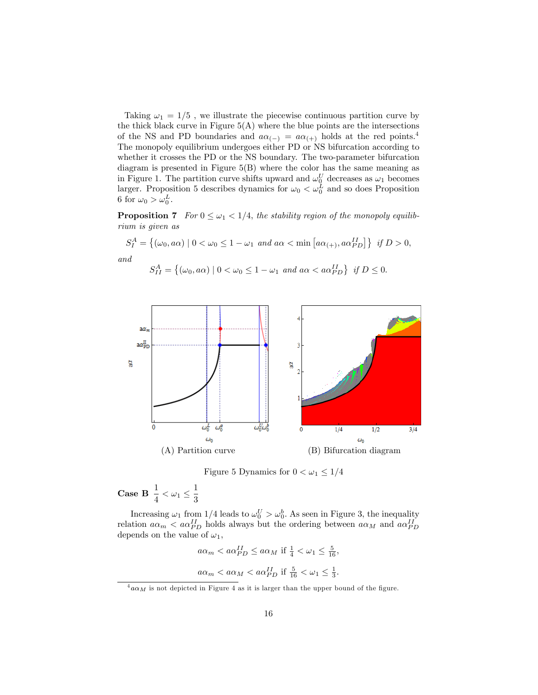Taking  $\omega_1 = 1/5$ , we illustrate the piecewise continuous partition curve by the thick black curve in Figure  $5(A)$  where the blue points are the intersections of the NS and PD boundaries and  $a\alpha_{(-)} = a\alpha_{(+)}$  holds at the red points.<sup>4</sup> The monopoly equilibrium undergoes either PD or NS bifurcation according to whether it crosses the PD or the NS boundary. The two-parameter bifurcation diagram is presented in Figure 5(B) where the color has the same meaning as in Figure 1. The partition curve shifts upward and  $\omega_0^U$  decreases as  $\omega_1$  becomes larger. Proposition 5 describes dynamics for  $\omega_0 < \omega_0^L$  and so does Proposition 6 for  $\omega_0 > \omega_0^L$ .

**Proposition 7** For  $0 \leq \omega_1 < 1/4$ , the stability region of the monopoly equilibrium is given as

$$
S_I^A = \{ (\omega_0, a\alpha) \mid 0 < \omega_0 \le 1 - \omega_1 \text{ and } a\alpha < \min\left[a\alpha_{(+)}, a\alpha_{PD}^{II}\right] \} \text{ if } D > 0,
$$
  
and

$$
S_{II}^A = \left\{ (\omega_0, a\alpha) \mid 0 < \omega_0 \le 1 - \omega_1 \text{ and } a\alpha < a\alpha_{PD}^{II} \right\} \text{ if } D \le 0.
$$



Figure 5 Dynamics for  $0<\omega_1\leq 1/4$ 

Case B  $\frac{1}{4} < \omega_1 \le \frac{1}{3}$ 3

Increasing  $\omega_1$  from 1/4 leads to  $\omega_0^U > \omega_0^b$ . As seen in Figure 3, the inequality relation  $a\alpha_m < a\alpha_{PD}^{II}$  holds always but the ordering between  $a\alpha_M$  and  $a\alpha_{PD}^{II}$ depends on the value of  $\omega_1$ ,

$$
a\alpha_m < a\alpha_{PD}^{II} \le a\alpha_M
$$
 if  $\frac{1}{4} < \omega_1 \le \frac{5}{16}$ ,  
 $a\alpha_m < a\alpha_M < a\alpha_{PD}^{II}$  if  $\frac{5}{16} < \omega_1 \le \frac{1}{3}$ .

 $^4 a\alpha_M$  is not depicted in Figure 4 as it is larger than the upper bound of the figure.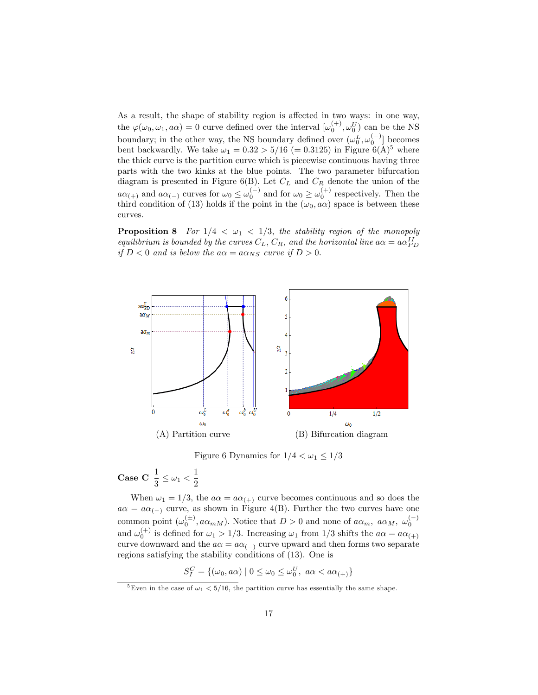As a result, the shape of stability region is affected in two ways: in one way, the  $\varphi(\omega_0, \omega_1, a\alpha) = 0$  curve defined over the interval  $[\omega_0^{(+)}, \omega_0^{U}]$  can be the NS boundary; in the other way, the NS boundary defined over  $(\omega_0^L, \omega_0^{(-)}]$  becomes bent backwardly. We take  $\omega_1 = 0.32 > 5/16$  (= 0.3125) in Figure 6(A)<sup>5</sup> where the thick curve is the partition curve which is piecewise continuous having three parts with the two kinks at the blue points. The two parameter bifurcation diagram is presented in Figure 6(B). Let  $C_L$  and  $C_R$  denote the union of the  $a\alpha_{(+)}$  and  $a\alpha_{(-)}$  curves for  $\omega_0 \leq \omega_0^{(-)}$  and for  $\omega_0 \geq \omega_0^{(+)}$  respectively. Then the third condition of (13) holds if the point in the  $(\omega_0, a\alpha)$  space is between these curves.

**Proposition 8** For  $1/4 < \omega_1 < 1/3$ , the stability region of the monopoly equilibrium is bounded by the curves  $C_L$ ,  $C_R$ , and the horizontal line  $a\alpha = a\alpha_{PD}^{II}$ if  $D < 0$  and is below the  $a\alpha = a\alpha_{NS}$  curve if  $D > 0$ .



Figure 6 Dynamics for  $1/4 < \omega_1 \leq 1/3$ 

$$
\textbf{Case C} \ \frac{1}{3} \leq \omega_1 < \frac{1}{2}
$$

When  $\omega_1 = 1/3$ , the  $a\alpha = a\alpha_{(+)}$  curve becomes continuous and so does the  $a\alpha = a\alpha_{(-)}$  curve, as shown in Figure 4(B). Further the two curves have one common point  $(\omega_0^{(\pm)}, a\alpha_{mM})$ . Notice that  $D > 0$  and none of  $a\alpha_m$ ,  $a\alpha_M$ ,  $\omega_0^{(-)}$ and  $\omega_0^{(+)}$  is defined for  $\omega_1 > 1/3$ . Increasing  $\omega_1$  from  $1/3$  shifts the  $a\alpha = a\alpha_{(+)}$ curve downward and the  $a\alpha = a\alpha_{(-)}$  curve upward and then forms two separate regions satisfying the stability conditions of (13). One is

$$
S_I^C = \{(\omega_0, a\alpha) \mid 0 \le \omega_0 \le \omega_0^U, \ a\alpha < a\alpha_{(+)}\}\
$$

<sup>&</sup>lt;sup>5</sup>Even in the case of  $\omega_1 < 5/16$ , the partition curve has essentially the same shape.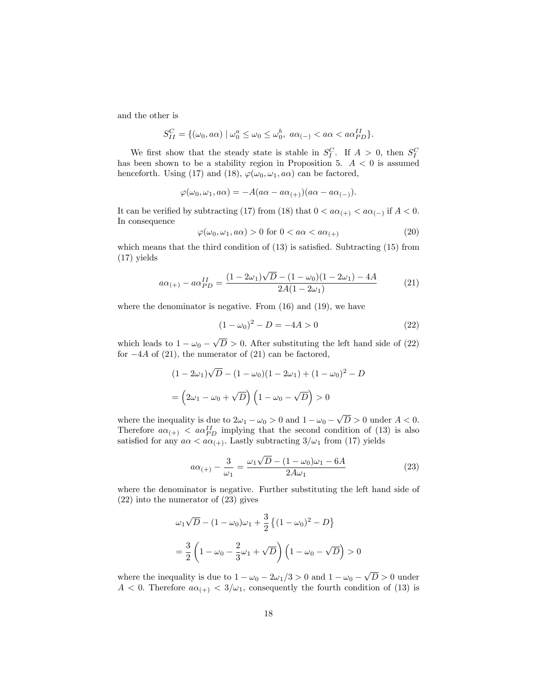and the other is

$$
S_{II}^C = \{(\omega_0, a\alpha) \mid \omega_0^a \le \omega_0 \le \omega_0^b, a\alpha_{(-)} < a\alpha < a\alpha_{PD}^{II}\}.
$$

We first show that the steady state is stable in  $S_I^C$ . If  $A > 0$ , then  $S_I^C$ has been shown to be a stability region in Proposition 5.  $A < 0$  is assumed henceforth. Using (17) and (18),  $\varphi(\omega_0, \omega_1, a\alpha)$  can be factored,

$$
\varphi(\omega_0, \omega_1, a\alpha) = -A(a\alpha - a\alpha_{(+)})(a\alpha - a\alpha_{(-)}).
$$

It can be verified by subtracting (17) from (18) that  $0 < a\alpha_{(+)} < a\alpha_{(-)}$  if  $A < 0$ . In consequence

$$
\varphi(\omega_0, \omega_1, a\alpha) > 0 \text{ for } 0 < a\alpha < a\alpha_{(+)}
$$
\n<sup>(20)</sup>

which means that the third condition of  $(13)$  is satisfied. Subtracting  $(15)$  from (17) yields

$$
a\alpha_{(+)} - a\alpha_{PD}^{II} = \frac{(1 - 2\omega_1)\sqrt{D} - (1 - \omega_0)(1 - 2\omega_1) - 4A}{2A(1 - 2\omega_1)}
$$
(21)

where the denominator is negative. From  $(16)$  and  $(19)$ , we have

$$
(1 - \omega_0)^2 - D = -4A > 0 \tag{22}
$$

which leads to  $1 - \omega_0 - \sqrt{D} > 0$ . After substituting the left hand side of (22) for  $-4A$  of (21), the numerator of (21) can be factored,

$$
(1 - 2\omega_1)\sqrt{D} - (1 - \omega_0)(1 - 2\omega_1) + (1 - \omega_0)^2 - D
$$

$$
= \left(2\omega_1 - \omega_0 + \sqrt{D}\right)\left(1 - \omega_0 - \sqrt{D}\right) > 0
$$

where the inequality is due to  $2\omega_1 - \omega_0 > 0$  and  $1 - \omega_0 - \sqrt{D} > 0$  under  $A < 0$ . Therefore  $a\alpha_{(+)} < a\alpha_{PD}^{II}$  implying that the second condition of (13) is also satisfied for any  $a\alpha < a\alpha_{(+)}$ . Lastly subtracting  $3/\omega_1$  from (17) yields

$$
a\alpha_{(+)} - \frac{3}{\omega_1} = \frac{\omega_1\sqrt{D} - (1 - \omega_0)\omega_1 - 6A}{2A\omega_1} \tag{23}
$$

where the denominator is negative. Further substituting the left hand side of (22) into the numerator of (23) gives

$$
\omega_1 \sqrt{D} - (1 - \omega_0)\omega_1 + \frac{3}{2} \{ (1 - \omega_0)^2 - D \}
$$
  
=  $\frac{3}{2} \left( 1 - \omega_0 - \frac{2}{3}\omega_1 + \sqrt{D} \right) \left( 1 - \omega_0 - \sqrt{D} \right) > 0$ 

where the inequality is due to  $1 - \omega_0 - 2\omega_1/3 > 0$  and  $1 - \omega_0 - \sqrt{D} > 0$  under  $A < 0$ . Therefore  $a\alpha_{(+)} < 3/\omega_1$ , consequently the fourth condition of (13) is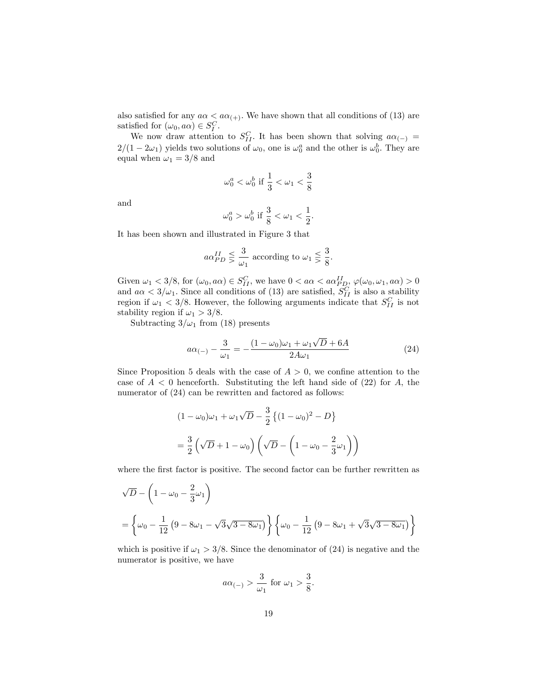also satisfied for any  $a\alpha < a\alpha_{(+)}$ . We have shown that all conditions of (13) are satisfied for  $(\omega_0, a\alpha) \in S_I^C$ .

We now draw attention to  $S_{II}^C$ . It has been shown that solving  $a\alpha_{(-)} =$  $2/(1-2\omega_1)$  yields two solutions of  $\omega_0$ , one is  $\omega_0^a$  and the other is  $\omega_0^b$ . They are equal when  $\omega_1 = 3/8$  and

$$
\omega_0^a < \omega_0^b \text{ if } \frac{1}{3} < \omega_1 < \frac{3}{8}
$$

and

$$
\omega_0^a > \omega_0^b \text{ if } \frac{3}{8} < \omega_1 < \frac{1}{2}.
$$

It has been shown and illustrated in Figure 3 that

$$
a\alpha_{PD}^{II} \leq \frac{3}{\omega_1}
$$
 according to  $\omega_1 \leq \frac{3}{8}$ .

Given  $\omega_1 < 3/8$ , for  $(\omega_0, a\alpha) \in S_{II}^C$ , we have  $0 < a\alpha < a\alpha_{PD}^{II}, \varphi(\omega_0, \omega_1, a\alpha) > 0$ and  $a\alpha < 3/\omega_1$ . Since all conditions of (13) are satisfied,  $S_{II}^C$  is also a stability region if  $\omega_1 < 3/8$ . However, the following arguments indicate that  $S_{II}^C$  is not stability region if  $\omega_1 > 3/8$ .

Subtracting  $3/\omega_1$  from (18) presents

$$
a\alpha_{(-)} - \frac{3}{\omega_1} = -\frac{(1 - \omega_0)\omega_1 + \omega_1\sqrt{D} + 6A}{2A\omega_1} \tag{24}
$$

Since Proposition 5 deals with the case of  $A > 0$ , we confine attention to the case of  $A < 0$  henceforth. Substituting the left hand side of (22) for A, the numerator of  $(24)$  can be rewritten and factored as follows:

$$
(1 - \omega_0)\omega_1 + \omega_1\sqrt{D} - \frac{3}{2}\left\{(1 - \omega_0)^2 - D\right\}
$$

$$
= \frac{3}{2}\left(\sqrt{D} + 1 - \omega_0\right)\left(\sqrt{D} - \left(1 - \omega_0 - \frac{2}{3}\omega_1\right)\right)
$$

where the first factor is positive. The second factor can be further rewritten as

$$
\sqrt{D} - \left(1 - \omega_0 - \frac{2}{3}\omega_1\right)
$$
  
=  $\left\{\omega_0 - \frac{1}{12}\left(9 - 8\omega_1 - \sqrt{3}\sqrt{3 - 8\omega_1}\right)\right\} \left\{\omega_0 - \frac{1}{12}\left(9 - 8\omega_1 + \sqrt{3}\sqrt{3 - 8\omega_1}\right)\right\}$ 

which is positive if  $\omega_1 > 3/8$ . Since the denominator of (24) is negative and the numerator is positive, we have

$$
a\alpha_{(-)} > \frac{3}{\omega_1} \text{ for } \omega_1 > \frac{3}{8}.
$$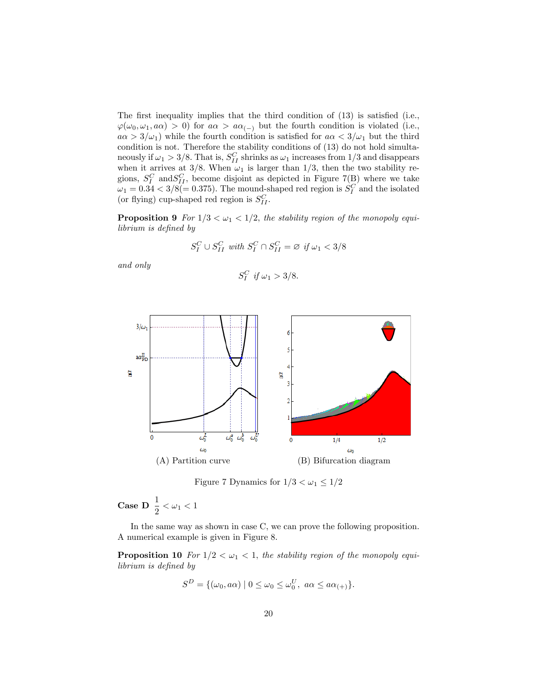The first inequality implies that the third condition of  $(13)$  is satisfied (i.e.,  $\varphi(\omega_0, \omega_1, a\alpha) > 0$  for  $a\alpha > a\alpha_{(-)}$  but the fourth condition is violated (i.e.,  $a\alpha > 3/\omega_1$  while the fourth condition is satisfied for  $a\alpha < 3/\omega_1$  but the third condition is not. Therefore the stability conditions of (13) do not hold simultaneously if  $\omega_1 > 3/8$ . That is,  $S_{II}^C$  shrinks as  $\omega_1$  increases from 1/3 and disappears when it arrives at 3/8. When  $\omega_1$  is larger than 1/3, then the two stability regions,  $S_I^C$  and  $S_{II}^C$ , become disjoint as depicted in Figure 7(B) where we take  $\omega_1 = 0.34 < 3/8 (= 0.375)$ . The mound-shaped red region is  $S_I^C$  and the isolated (or flying) cup-shaped red region is  $S_{II}^C$ .

**Proposition 9** For  $1/3 < \omega_1 < 1/2$ , the stability region of the monopoly equilibrium is defined by

$$
S_I^C \cup S_{II}^C \text{ with } S_I^C \cap S_{II}^C = \varnothing \text{ if } \omega_1 < 3/8
$$

and only

$$
S_I^C \text{ if } \omega_1 > 3/8.
$$



Figure 7 Dynamics for  $1/3 < \omega_1 \leq 1/2$ 

**Case D**  $\frac{1}{2} < \omega_1 < 1$ 

In the same way as shown in case C, we can prove the following proposition. A numerical example is given in Figure 8.

**Proposition 10** For  $1/2 < \omega_1 < 1$ , the stability region of the monopoly equilibrium is defined by

$$
S^{D} = \{(\omega_0, a\alpha) \mid 0 \leq \omega_0 \leq \omega_0^U, a\alpha \leq a\alpha_{(+)}\}.
$$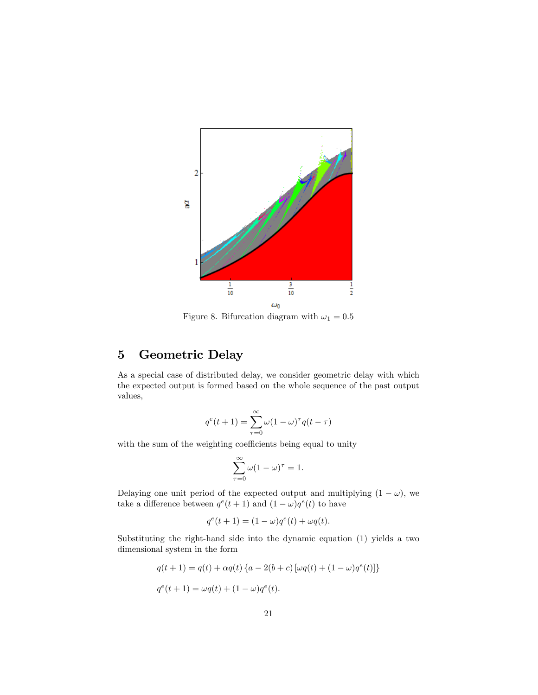

Figure 8. Bifurcation diagram with  $\omega_1 = 0.5$ 

# 5 Geometric Delay

As a special case of distributed delay, we consider geometric delay with which the expected output is formed based on the whole sequence of the past output values,

$$
q^{e}(t+1) = \sum_{\tau=0}^{\infty} \omega (1-\omega)^{\tau} q(t-\tau)
$$

with the sum of the weighting coefficients being equal to unity

$$
\sum_{\tau=0}^{\infty} \omega (1 - \omega)^{\tau} = 1.
$$

Delaying one unit period of the expected output and multiplying  $(1 - \omega)$ , we take a difference between  $q^e(t+1)$  and  $(1-\omega)q^e(t)$  to have

$$
q^{e}(t+1) = (1 - \omega)q^{e}(t) + \omega q(t).
$$

Substituting the right-hand side into the dynamic equation (1) yields a two dimensional system in the form

$$
q(t + 1) = q(t) + \alpha q(t) \{a - 2(b + c) [\omega q(t) + (1 - \omega)q^{e}(t)]\}
$$
  

$$
q^{e}(t + 1) = \omega q(t) + (1 - \omega)q^{e}(t).
$$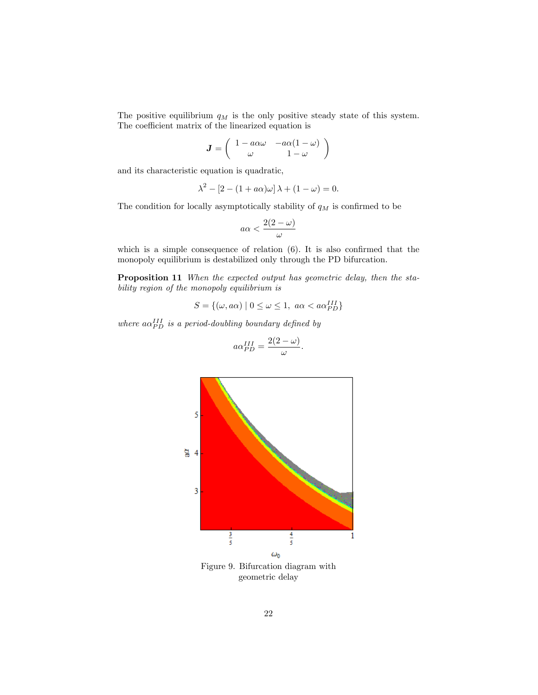The positive equilibrium  $q_M$  is the only positive steady state of this system. The coefficient matrix of the linearized equation is

$$
\mathbf{J} = \left( \begin{array}{cc} 1 - a\alpha\omega & -a\alpha(1-\omega) \\ \omega & 1-\omega \end{array} \right)
$$

and its characteristic equation is quadratic,

$$
\lambda^2 - [2 - (1 + a\alpha)\omega] \lambda + (1 - \omega) = 0.
$$

The condition for locally asymptotically stability of  $q_M$  is confirmed to be

$$
a\alpha < \frac{2(2-\omega)}{\omega}
$$

which is a simple consequence of relation  $(6)$ . It is also confirmed that the monopoly equilibrium is destabilized only through the PD bifurcation.

Proposition 11 When the expected output has geometric delay, then the stability region of the monopoly equilibrium is

$$
S = \{ (\omega, a\alpha) \mid 0 \le \omega \le 1, \ a\alpha < a\alpha_{PD}^{III} \}
$$

where  $a\alpha_{PD}^{III}$  is a period-doubling boundary defined by

$$
a\alpha_{PD}^{III} = \frac{2(2-\omega)}{\omega}
$$

:



geometric delay